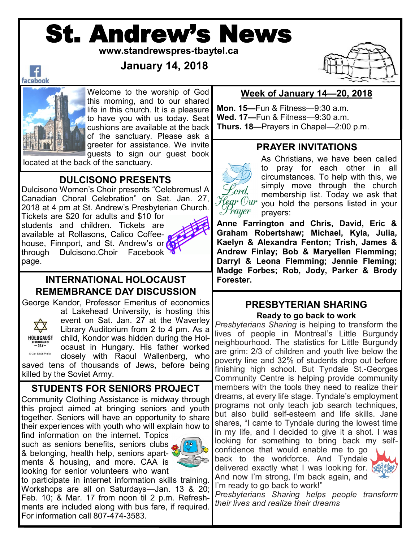# St. Andrew's News

**www.standrewspres-tbaytel.ca**

**January 14, 2018**



Welcome to the worship of God this morning, and to our shared life in this church. It is a pleasure to have you with us today. Seat cushions are available at the back of the sanctuary. Please ask a greeter for assistance. We invite guests to sign our guest book

located at the back of the sanctuary.

# **DULCISONO PRESENTS**

Dulcisono Women's Choir presents "Celebremus! A Canadian Choral Celebration" on Sat. Jan. 27, 2018 at 4 pm at St. Andrew's Presbyterian Church.

Tickets are \$20 for adults and \$10 for students and children. Tickets are available at Rollasons, Calico Coffeehouse, Finnport, and St. Andrew's or through Dulcisono.Choir Facebook page.



Kord.

rayer

#### **INTERNATIONAL HOLOCAUST REMEMBRANCE DAY DISCUSSION**

George Kandor, Professor Emeritus of economics



Can Stock Photo

at Lakehead University, is hosting this event on Sat. Jan. 27 at the Waverley Library Auditorium from 2 to 4 pm. As a child, Kondor was hidden during the Holocaust in Hungary. His father worked closely with Raoul Wallenberg, who saved tens of thousands of Jews, before being killed by the Soviet Army.

# **STUDENTS FOR SENIORS PROJECT**

Community Clothing Assistance is midway through this project aimed at bringing seniors and youth together. Seniors will have an opportunity to share their experiences with youth who will explain how to

find information on the internet. Topics such as seniors benefits, seniors clubs & belonging, health help, seniors apartments & housing, and more. CAA is looking for senior volunteers who want



to participate in internet information skills training. Workshops are all on Saturdays—Jan. 13 & 20; Feb. 10; & Mar. 17 from noon til 2 p.m. Refreshments are included along with bus fare, if required. For information call 807-474-3583.

### **Week of January 14—20, 2018**

**Mon. 15—**Fun & Fitness—9:30 a.m. **Wed. 17—**Fun & Fitness—9:30 a.m. **Thurs. 18—**Prayers in Chapel—2:00 p.m.

# **PRAYER INVITATIONS**

As Christians, we have been called to pray for each other in all circumstances. To help with this, we simply move through the church membership list. Today we ask that  $\mathcal{H}$ egr  $Our$  you hold the persons listed in your prayers:

**Anne Farrington and Chris, David, Eric & Graham Robertshaw; Michael, Kyla, Julia, Kaelyn & Alexandra Fenton; Trish, James & Andrew Finlay; Bob & Maryellen Flemming; Darryl & Leona Flemming; Jennie Fleming; Madge Forbes; Rob, Jody, Parker & Brody Forester.**

# **PRESBYTERIAN SHARING**

**Ready to go back to work**

*Presbyterians Sharing* is helping to transform the lives of people in Montreal's Little Burgundy neighbourhood. The statistics for Little Burgundy are grim: 2/3 of children and youth live below the poverty line and 32% of students drop out before finishing high school. But Tyndale St.-Georges Community Centre is helping provide community members with the tools they need to realize their dreams, at every life stage. Tyndale's employment programs not only teach job search techniques, but also build self-esteem and life skills. Jane shares, "I came to Tyndale during the lowest time in my life, and I decided to give it a shot. I was looking for something to bring back my selfconfidence that would enable me to go

back to the workforce. And Tyndale delivered exactly what I was looking for. And now I'm strong, I'm back again, and I'm ready to go back to work!"



*Presbyterians Sharing helps people transform their lives and realize their dreams*